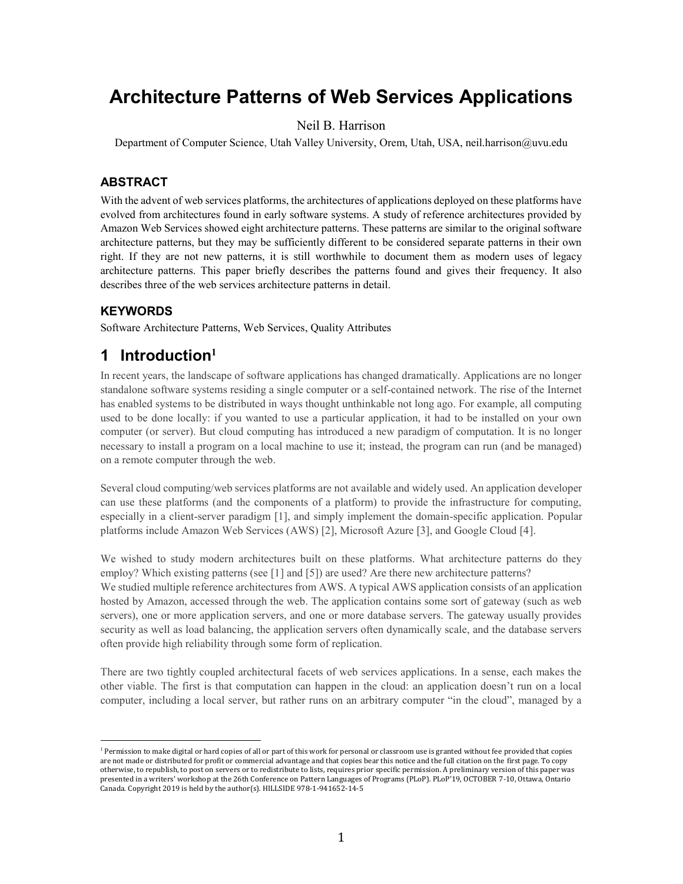# **Architecture Patterns of Web Services Applications**

### Neil B. Harrison

Department of Computer Science, Utah Valley University, Orem, Utah, USA, neil.harrison@uvu.edu

#### **ABSTRACT**

With the advent of web services platforms, the architectures of applications deployed on these platforms have evolved from architectures found in early software systems. A study of reference architectures provided by Amazon Web Services showed eight architecture patterns. These patterns are similar to the original software architecture patterns, but they may be sufficiently different to be considered separate patterns in their own right. If they are not new patterns, it is still worthwhile to document them as modern uses of legacy architecture patterns. This paper briefly describes the patterns found and gives their frequency. It also describes three of the web services architecture patterns in detail.

#### **KEYWORDS**

l

Software Architecture Patterns, Web Services, Quality Attributes

### **1 Introduction<sup>1</sup>**

In recent years, the landscape of software applications has changed dramatically. Applications are no longer standalone software systems residing a single computer or a self-contained network. The rise of the Internet has enabled systems to be distributed in ways thought unthinkable not long ago. For example, all computing used to be done locally: if you wanted to use a particular application, it had to be installed on your own computer (or server). But cloud computing has introduced a new paradigm of computation. It is no longer necessary to install a program on a local machine to use it; instead, the program can run (and be managed) on a remote computer through the web.

Several cloud computing/web services platforms are not available and widely used. An application developer can use these platforms (and the components of a platform) to provide the infrastructure for computing, especially in a client-server paradigm [1], and simply implement the domain-specific application. Popular platforms include Amazon Web Services (AWS) [2], Microsoft Azure [3], and Google Cloud [4].

We wished to study modern architectures built on these platforms. What architecture patterns do they employ? Which existing patterns (see [1] and [5]) are used? Are there new architecture patterns? We studied multiple reference architectures from AWS. A typical AWS application consists of an application hosted by Amazon, accessed through the web. The application contains some sort of gateway (such as web servers), one or more application servers, and one or more database servers. The gateway usually provides security as well as load balancing, the application servers often dynamically scale, and the database servers often provide high reliability through some form of replication.

There are two tightly coupled architectural facets of web services applications. In a sense, each makes the other viable. The first is that computation can happen in the cloud: an application doesn't run on a local computer, including a local server, but rather runs on an arbitrary computer "in the cloud", managed by a

<sup>&</sup>lt;sup>1</sup> Permission to make digital or hard copies of all or part of this work for personal or classroom use is granted without fee provided that copies are not made or distributed for profit or commercial advantage and that copies bear this notice and the full citation on the first page. To copy otherwise, to republish, to post on servers or to redistribute to lists, requires prior specific permission. A preliminary version of this paper was presented in a writers' workshop at the 26th Conference on Pattern Languages of Programs (PLoP). PLoP'19, OCTOBER 7-10, Ottawa, Ontario Canada. Copyright 2019 is held by the author(s). HILLSIDE 978-1-941652-14-5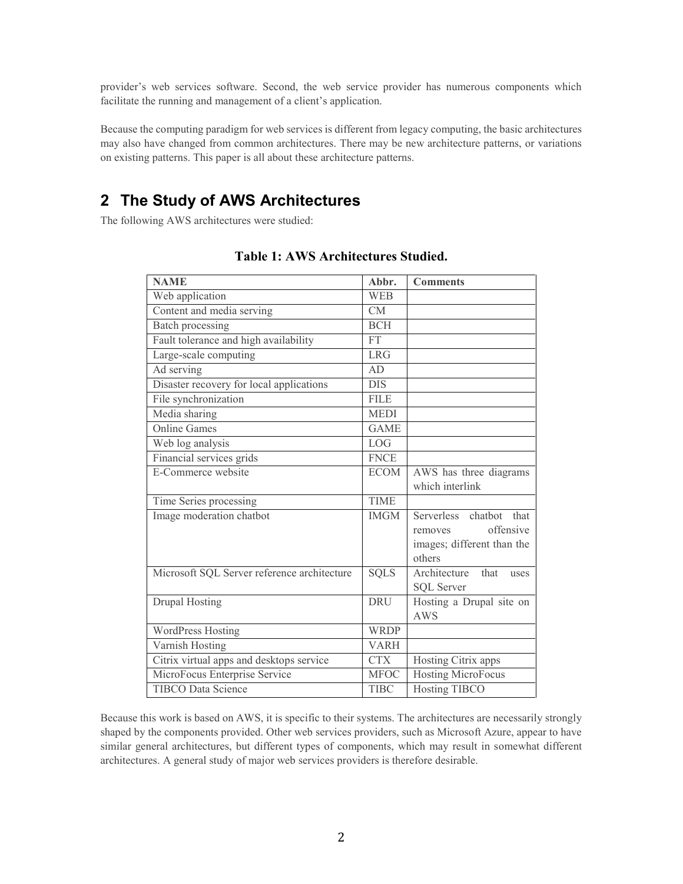provider's web services software. Second, the web service provider has numerous components which facilitate the running and management of a client's application.

Because the computing paradigm for web services is different from legacy computing, the basic architectures may also have changed from common architectures. There may be new architecture patterns, or variations on existing patterns. This paper is all about these architecture patterns.

# **2 The Study of AWS Architectures**

The following AWS architectures were studied:

| <b>NAME</b>                                 | Abbr.                  | <b>Comments</b>               |
|---------------------------------------------|------------------------|-------------------------------|
| Web application                             | <b>WEB</b>             |                               |
| Content and media serving                   | $\overline{\text{CM}}$ |                               |
| Batch processing                            | <b>BCH</b>             |                               |
| Fault tolerance and high availability       | <b>FT</b>              |                               |
| Large-scale computing                       | <b>LRG</b>             |                               |
| Ad serving                                  | AD                     |                               |
| Disaster recovery for local applications    | $\overline{DIS}$       |                               |
| File synchronization                        | <b>FILE</b>            |                               |
| Media sharing                               | <b>MEDI</b>            |                               |
| <b>Online Games</b>                         | <b>GAME</b>            |                               |
| Web log analysis                            | <b>LOG</b>             |                               |
| Financial services grids                    | <b>FNCE</b>            |                               |
| E-Commerce website                          | <b>ECOM</b>            | AWS has three diagrams        |
|                                             |                        | which interlink               |
| Time Series processing                      | <b>TIME</b>            |                               |
| Image moderation chatbot                    | <b>IMGM</b>            | Serverless<br>chatbot<br>that |
|                                             |                        | offensive<br>removes          |
|                                             |                        | images; different than the    |
|                                             |                        | others                        |
| Microsoft SQL Server reference architecture | <b>SQLS</b>            | Architecture<br>that<br>uses  |
|                                             |                        | <b>SQL Server</b>             |
| <b>Drupal Hosting</b>                       | <b>DRU</b>             | Hosting a Drupal site on      |
|                                             |                        | <b>AWS</b>                    |
| <b>WordPress Hosting</b>                    | <b>WRDP</b>            |                               |
| Varnish Hosting                             | <b>VARH</b>            |                               |
| Citrix virtual apps and desktops service    | <b>CTX</b>             | Hosting Citrix apps           |
| MicroFocus Enterprise Service               | <b>MFOC</b>            | <b>Hosting MicroFocus</b>     |
| TIBCO Data Science                          | <b>TIBC</b>            | <b>Hosting TIBCO</b>          |

### **Table 1: AWS Architectures Studied.**

Because this work is based on AWS, it is specific to their systems. The architectures are necessarily strongly shaped by the components provided. Other web services providers, such as Microsoft Azure, appear to have similar general architectures, but different types of components, which may result in somewhat different architectures. A general study of major web services providers is therefore desirable.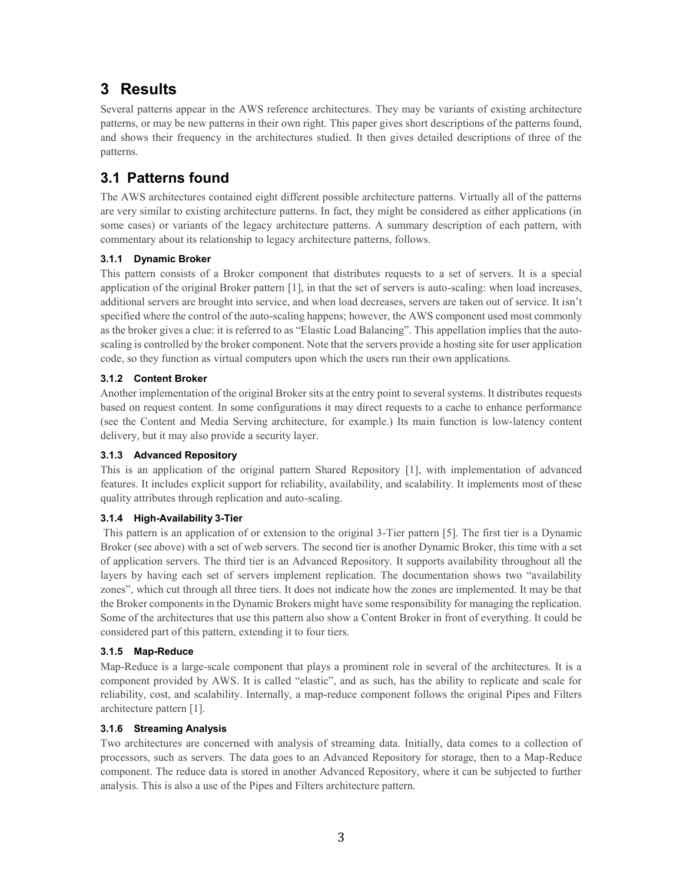# **3 Results**

Several patterns appear in the AWS reference architectures. They may be variants of existing architecture patterns, or may be new patterns in their own right. This paper gives short descriptions of the patterns found, and shows their frequency in the architectures studied. It then gives detailed descriptions of three of the patterns.

# **3.1 Patterns found**

The AWS architectures contained eight different possible architecture patterns. Virtually all of the patterns are very similar to existing architecture patterns. In fact, they might be considered as either applications (in some cases) or variants of the legacy architecture patterns. A summary description of each pattern, with commentary about its relationship to legacy architecture patterns, follows.

### **3.1.1 Dynamic Broker**

This pattern consists of a Broker component that distributes requests to a set of servers. It is a special application of the original Broker pattern [1], in that the set of servers is auto-scaling: when load increases, additional servers are brought into service, and when load decreases, servers are taken out of service. It isn't specified where the control of the auto-scaling happens; however, the AWS component used most commonly as the broker gives a clue: it is referred to as "Elastic Load Balancing". This appellation implies that the autoscaling is controlled by the broker component. Note that the servers provide a hosting site for user application code, so they function as virtual computers upon which the users run their own applications.

### **3.1.2 Content Broker**

Another implementation of the original Broker sits at the entry point to several systems. It distributes requests based on request content. In some configurations it may direct requests to a cache to enhance performance (see the Content and Media Serving architecture, for example.) Its main function is low-latency content delivery, but it may also provide a security layer.

#### **3.1.3 Advanced Repository**

This is an application of the original pattern Shared Repository [1], with implementation of advanced features. It includes explicit support for reliability, availability, and scalability. It implements most of these quality attributes through replication and auto-scaling.

#### **3.1.4 High-Availability 3-Tier**

This pattern is an application of or extension to the original 3-Tier pattern [5]. The first tier is a Dynamic Broker (see above) with a set of web servers. The second tier is another Dynamic Broker, this time with a set of application servers. The third tier is an Advanced Repository. It supports availability throughout all the layers by having each set of servers implement replication. The documentation shows two "availability zones", which cut through all three tiers. It does not indicate how the zones are implemented. It may be that the Broker components in the Dynamic Brokers might have some responsibility for managing the replication. Some of the architectures that use this pattern also show a Content Broker in front of everything. It could be considered part of this pattern, extending it to four tiers.

#### **3.1.5 Map-Reduce**

Map-Reduce is a large-scale component that plays a prominent role in several of the architectures. It is a component provided by AWS. It is called "elastic", and as such, has the ability to replicate and scale for reliability, cost, and scalability. Internally, a map-reduce component follows the original Pipes and Filters architecture pattern [1].

#### **3.1.6 Streaming Analysis**

Two architectures are concerned with analysis of streaming data. Initially, data comes to a collection of processors, such as servers. The data goes to an Advanced Repository for storage, then to a Map-Reduce component. The reduce data is stored in another Advanced Repository, where it can be subjected to further analysis. This is also a use of the Pipes and Filters architecture pattern.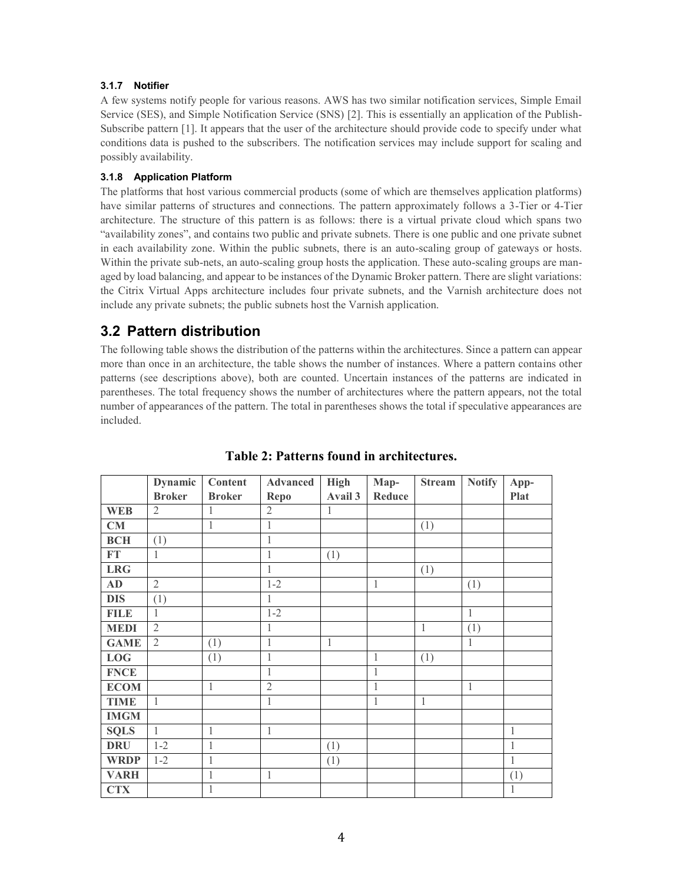#### **3.1.7 Notifier**

A few systems notify people for various reasons. AWS has two similar notification services, Simple Email Service (SES), and Simple Notification Service (SNS) [2]. This is essentially an application of the Publish-Subscribe pattern [1]. It appears that the user of the architecture should provide code to specify under what conditions data is pushed to the subscribers. The notification services may include support for scaling and possibly availability.

#### **3.1.8 Application Platform**

The platforms that host various commercial products (some of which are themselves application platforms) have similar patterns of structures and connections. The pattern approximately follows a 3-Tier or 4-Tier architecture. The structure of this pattern is as follows: there is a virtual private cloud which spans two "availability zones", and contains two public and private subnets. There is one public and one private subnet in each availability zone. Within the public subnets, there is an auto-scaling group of gateways or hosts. Within the private sub-nets, an auto-scaling group hosts the application. These auto-scaling groups are managed by load balancing, and appear to be instances of the Dynamic Broker pattern. There are slight variations: the Citrix Virtual Apps architecture includes four private subnets, and the Varnish architecture does not include any private subnets; the public subnets host the Varnish application.

### **3.2 Pattern distribution**

The following table shows the distribution of the patterns within the architectures. Since a pattern can appear more than once in an architecture, the table shows the number of instances. Where a pattern contains other patterns (see descriptions above), both are counted. Uncertain instances of the patterns are indicated in parentheses. The total frequency shows the number of architectures where the pattern appears, not the total number of appearances of the pattern. The total in parentheses shows the total if speculative appearances are included.

|             | <b>Dynamic</b> | Content       | <b>Advanced</b> | <b>High</b>  | Map-         | <b>Stream</b> | <b>Notify</b> | App-         |
|-------------|----------------|---------------|-----------------|--------------|--------------|---------------|---------------|--------------|
|             | <b>Broker</b>  | <b>Broker</b> | Repo            | Avail 3      | Reduce       |               |               | Plat         |
| <b>WEB</b>  | $\mathfrak{2}$ | 1             | $\overline{2}$  | 1            |              |               |               |              |
| CM          |                | 1             | 1               |              |              | (1)           |               |              |
| <b>BCH</b>  | (1)            |               | $\mathbf{1}$    |              |              |               |               |              |
| FT          | 1              |               | $\mathbf 1$     | (1)          |              |               |               |              |
| <b>LRG</b>  |                |               | 1               |              |              | (1)           |               |              |
| AD          | $\overline{2}$ |               | $1 - 2$         |              | $\mathbf{1}$ |               | (1)           |              |
| <b>DIS</b>  | (1)            |               | 1               |              |              |               |               |              |
| <b>FILE</b> | 1              |               | $1 - 2$         |              |              |               | $\mathbf{1}$  |              |
| <b>MEDI</b> | $\overline{2}$ |               | $\mathbf{1}$    |              |              | $\mathbf{1}$  | (1)           |              |
| <b>GAME</b> | $\overline{2}$ | (1)           | $\mathbf{1}$    | $\mathbf{1}$ |              |               | 1             |              |
| LOG         |                | (1)           | $\mathbf{1}$    |              | 1            | (1)           |               |              |
| <b>FNCE</b> |                |               | $\mathbf{1}$    |              | $\mathbf{1}$ |               |               |              |
| <b>ECOM</b> |                | $\mathbf{1}$  | $\overline{2}$  |              | $\mathbf{1}$ |               | $\mathbf{1}$  |              |
| <b>TIME</b> | 1              |               | 1               |              | 1            | 1             |               |              |
| <b>IMGM</b> |                |               |                 |              |              |               |               |              |
| SQLS        | $\mathbf{1}$   | $\mathbf{1}$  | $\mathbf{1}$    |              |              |               |               | $\mathbf{1}$ |
| <b>DRU</b>  | $1 - 2$        | 1             |                 | (1)          |              |               |               | 1            |
| <b>WRDP</b> | $1 - 2$        | 1             |                 | (1)          |              |               |               | $\mathbf{1}$ |
| <b>VARH</b> |                | $\mathbf 1$   | $\,1$           |              |              |               |               | (1)          |
| <b>CTX</b>  |                | 1             |                 |              |              |               |               | 1            |

### **Table 2: Patterns found in architectures.**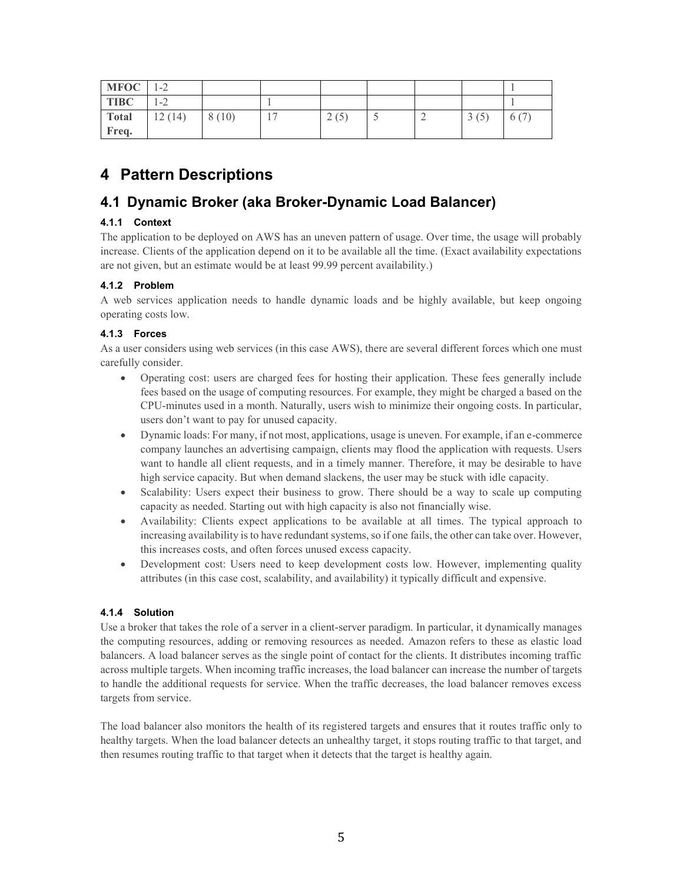| $MFOC$ 1-2  |         |       |      |  |      |      |
|-------------|---------|-------|------|--|------|------|
| <b>TIBC</b> | $1 - 2$ |       |      |  |      |      |
| Total       | 12(14)  | 8(10) | 2(5) |  | 3(5) | 6 (7 |
| Freq.       |         |       |      |  |      |      |

# **4 Pattern Descriptions**

## **4.1 Dynamic Broker (aka Broker-Dynamic Load Balancer)**

### **4.1.1 Context**

The application to be deployed on AWS has an uneven pattern of usage. Over time, the usage will probably increase. Clients of the application depend on it to be available all the time. (Exact availability expectations are not given, but an estimate would be at least 99.99 percent availability.)

### **4.1.2 Problem**

A web services application needs to handle dynamic loads and be highly available, but keep ongoing operating costs low.

#### **4.1.3 Forces**

As a user considers using web services (in this case AWS), there are several different forces which one must carefully consider.

- Operating cost: users are charged fees for hosting their application. These fees generally include fees based on the usage of computing resources. For example, they might be charged a based on the CPU-minutes used in a month. Naturally, users wish to minimize their ongoing costs. In particular, users don't want to pay for unused capacity.
- Dynamic loads: For many, if not most, applications, usage is uneven. For example, if an e-commerce company launches an advertising campaign, clients may flood the application with requests. Users want to handle all client requests, and in a timely manner. Therefore, it may be desirable to have high service capacity. But when demand slackens, the user may be stuck with idle capacity.
- Scalability: Users expect their business to grow. There should be a way to scale up computing capacity as needed. Starting out with high capacity is also not financially wise.
- Availability: Clients expect applications to be available at all times. The typical approach to increasing availability is to have redundant systems, so if one fails, the other can take over. However, this increases costs, and often forces unused excess capacity.
- Development cost: Users need to keep development costs low. However, implementing quality attributes (in this case cost, scalability, and availability) it typically difficult and expensive.

#### **4.1.4 Solution**

Use a broker that takes the role of a server in a client-server paradigm. In particular, it dynamically manages the computing resources, adding or removing resources as needed. Amazon refers to these as elastic load balancers. A load balancer serves as the single point of contact for the clients. It distributes incoming traffic across multiple targets. When incoming traffic increases, the load balancer can increase the number of targets to handle the additional requests for service. When the traffic decreases, the load balancer removes excess targets from service.

The load balancer also monitors the health of its registered targets and ensures that it routes traffic only to healthy targets. When the load balancer detects an unhealthy target, it stops routing traffic to that target, and then resumes routing traffic to that target when it detects that the target is healthy again.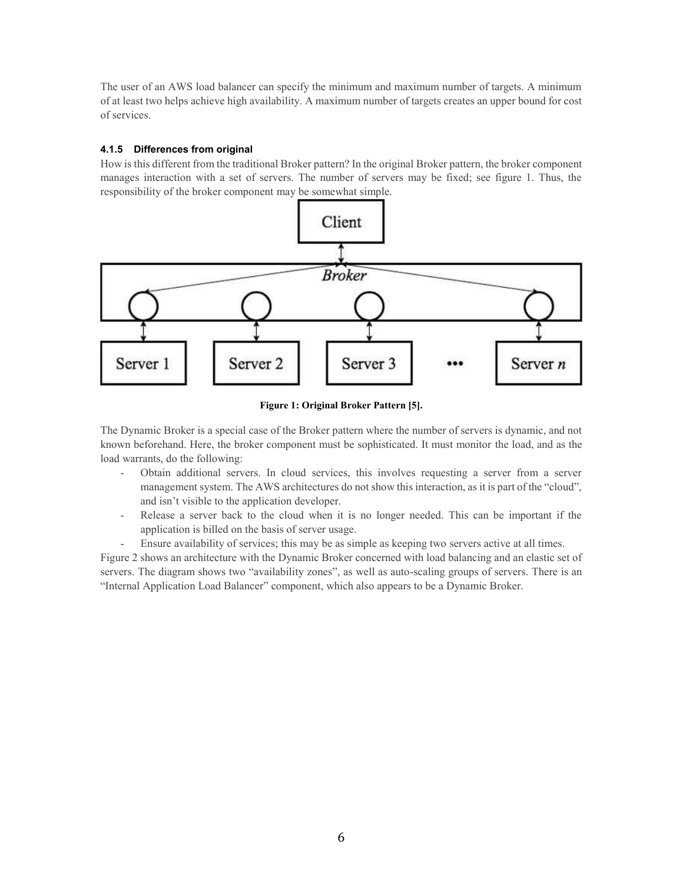The user of an AWS load balancer can specify the minimum and maximum number of targets. A minimum of at least two helps achieve high availability. A maximum number of targets creates an upper bound for cost of services.

#### **4.1.5 Differences from original**

How is this different from the traditional Broker pattern? In the original Broker pattern, the broker component manages interaction with a set of servers. The number of servers may be fixed; see figure 1. Thus, the responsibility of the broker component may be somewhat simple.



**Figure 1: Original Broker Pattern [5].**

The Dynamic Broker is a special case of the Broker pattern where the number of servers is dynamic, and not known beforehand. Here, the broker component must be sophisticated. It must monitor the load, and as the load warrants, do the following:

- Obtain additional servers. In cloud services, this involves requesting a server from a server management system. The AWS architectures do not show this interaction, as it is part of the "cloud", and isn't visible to the application developer.
- Release a server back to the cloud when it is no longer needed. This can be important if the application is billed on the basis of server usage.
- Ensure availability of services; this may be as simple as keeping two servers active at all times.

Figure 2 shows an architecture with the Dynamic Broker concerned with load balancing and an elastic set of servers. The diagram shows two "availability zones", as well as auto-scaling groups of servers. There is an "Internal Application Load Balancer" component, which also appears to be a Dynamic Broker.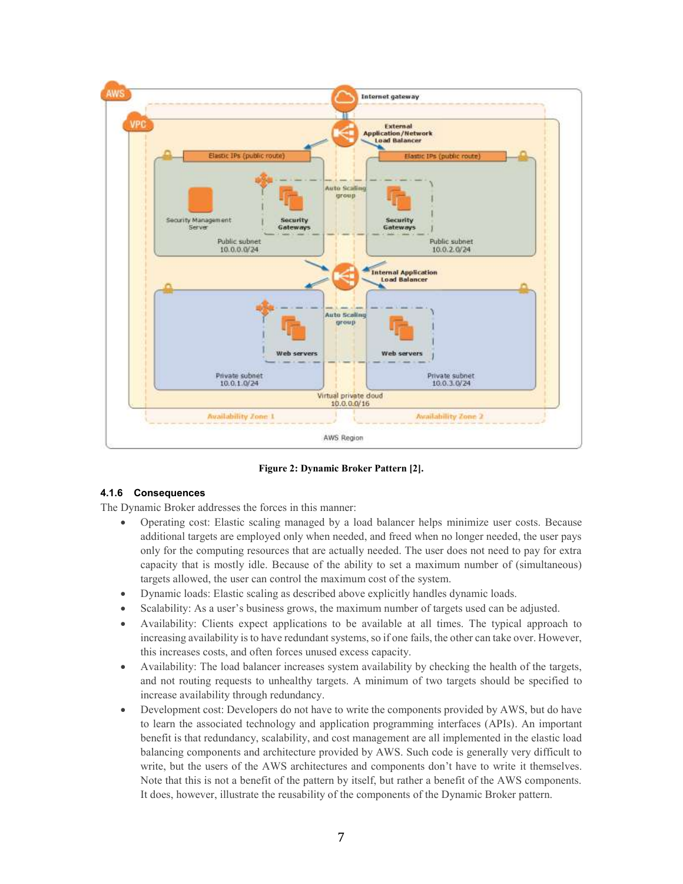

**Figure 2: Dynamic Broker Pattern [2].**

#### **4.1.6 Consequences**

The Dynamic Broker addresses the forces in this manner:

- Operating cost: Elastic scaling managed by a load balancer helps minimize user costs. Because additional targets are employed only when needed, and freed when no longer needed, the user pays only for the computing resources that are actually needed. The user does not need to pay for extra capacity that is mostly idle. Because of the ability to set a maximum number of (simultaneous) targets allowed, the user can control the maximum cost of the system.
- Dynamic loads: Elastic scaling as described above explicitly handles dynamic loads.
- Scalability: As a user's business grows, the maximum number of targets used can be adjusted.
- Availability: Clients expect applications to be available at all times. The typical approach to increasing availability is to have redundant systems, so if one fails, the other can take over. However, this increases costs, and often forces unused excess capacity.
- Availability: The load balancer increases system availability by checking the health of the targets, and not routing requests to unhealthy targets. A minimum of two targets should be specified to increase availability through redundancy.
- Development cost: Developers do not have to write the components provided by AWS, but do have to learn the associated technology and application programming interfaces (APIs). An important benefit is that redundancy, scalability, and cost management are all implemented in the elastic load balancing components and architecture provided by AWS. Such code is generally very difficult to write, but the users of the AWS architectures and components don't have to write it themselves. Note that this is not a benefit of the pattern by itself, but rather a benefit of the AWS components. It does, however, illustrate the reusability of the components of the Dynamic Broker pattern.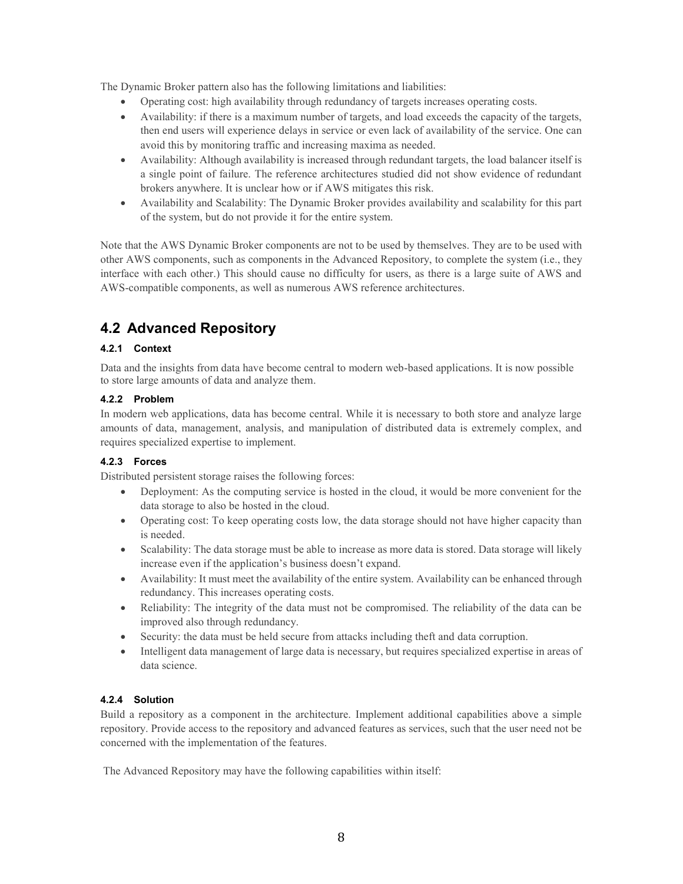The Dynamic Broker pattern also has the following limitations and liabilities:

- Operating cost: high availability through redundancy of targets increases operating costs.
- Availability: if there is a maximum number of targets, and load exceeds the capacity of the targets, then end users will experience delays in service or even lack of availability of the service. One can avoid this by monitoring traffic and increasing maxima as needed.
- Availability: Although availability is increased through redundant targets, the load balancer itself is a single point of failure. The reference architectures studied did not show evidence of redundant brokers anywhere. It is unclear how or if AWS mitigates this risk.
- Availability and Scalability: The Dynamic Broker provides availability and scalability for this part of the system, but do not provide it for the entire system.

Note that the AWS Dynamic Broker components are not to be used by themselves. They are to be used with other AWS components, such as components in the Advanced Repository, to complete the system (i.e., they interface with each other.) This should cause no difficulty for users, as there is a large suite of AWS and AWS-compatible components, as well as numerous AWS reference architectures.

# **4.2 Advanced Repository**

#### **4.2.1 Context**

Data and the insights from data have become central to modern web-based applications. It is now possible to store large amounts of data and analyze them.

#### **4.2.2 Problem**

In modern web applications, data has become central. While it is necessary to both store and analyze large amounts of data, management, analysis, and manipulation of distributed data is extremely complex, and requires specialized expertise to implement.

#### **4.2.3 Forces**

Distributed persistent storage raises the following forces:

- Deployment: As the computing service is hosted in the cloud, it would be more convenient for the data storage to also be hosted in the cloud.
- Operating cost: To keep operating costs low, the data storage should not have higher capacity than is needed.
- Scalability: The data storage must be able to increase as more data is stored. Data storage will likely increase even if the application's business doesn't expand.
- Availability: It must meet the availability of the entire system. Availability can be enhanced through redundancy. This increases operating costs.
- Reliability: The integrity of the data must not be compromised. The reliability of the data can be improved also through redundancy.
- Security: the data must be held secure from attacks including theft and data corruption.
- Intelligent data management of large data is necessary, but requires specialized expertise in areas of data science.

#### **4.2.4 Solution**

Build a repository as a component in the architecture. Implement additional capabilities above a simple repository. Provide access to the repository and advanced features as services, such that the user need not be concerned with the implementation of the features.

The Advanced Repository may have the following capabilities within itself: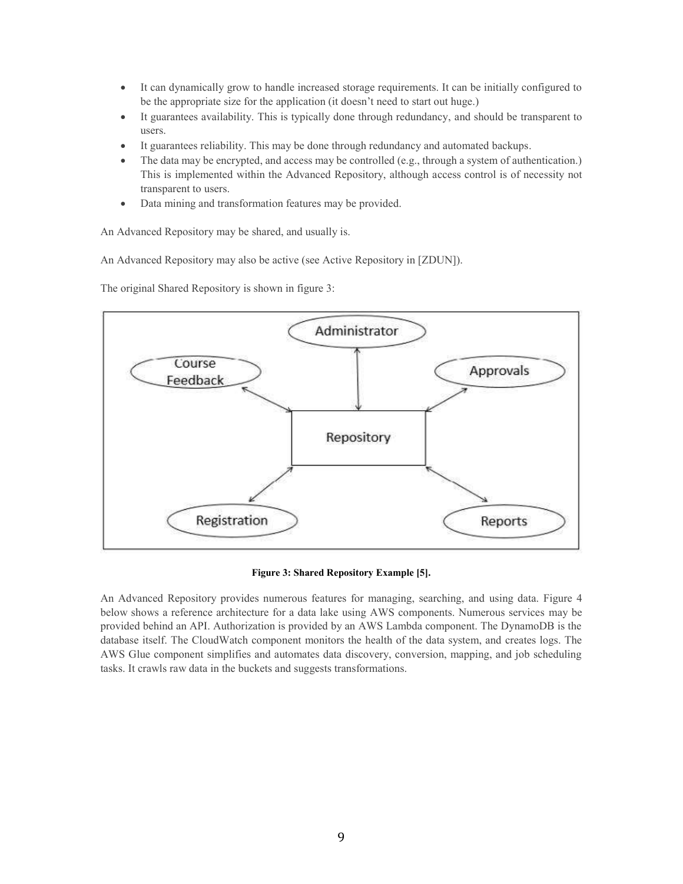- It can dynamically grow to handle increased storage requirements. It can be initially configured to be the appropriate size for the application (it doesn't need to start out huge.)
- It guarantees availability. This is typically done through redundancy, and should be transparent to users.
- It guarantees reliability. This may be done through redundancy and automated backups.
- The data may be encrypted, and access may be controlled (e.g., through a system of authentication.) This is implemented within the Advanced Repository, although access control is of necessity not transparent to users.
- Data mining and transformation features may be provided.

An Advanced Repository may be shared, and usually is.

An Advanced Repository may also be active (see Active Repository in [ZDUN]).

The original Shared Repository is shown in figure 3:



**Figure 3: Shared Repository Example [5].**

An Advanced Repository provides numerous features for managing, searching, and using data. Figure 4 below shows a reference architecture for a data lake using AWS components. Numerous services may be provided behind an API. Authorization is provided by an AWS Lambda component. The DynamoDB is the database itself. The CloudWatch component monitors the health of the data system, and creates logs. The AWS Glue component simplifies and automates data discovery, conversion, mapping, and job scheduling tasks. It crawls raw data in the buckets and suggests transformations.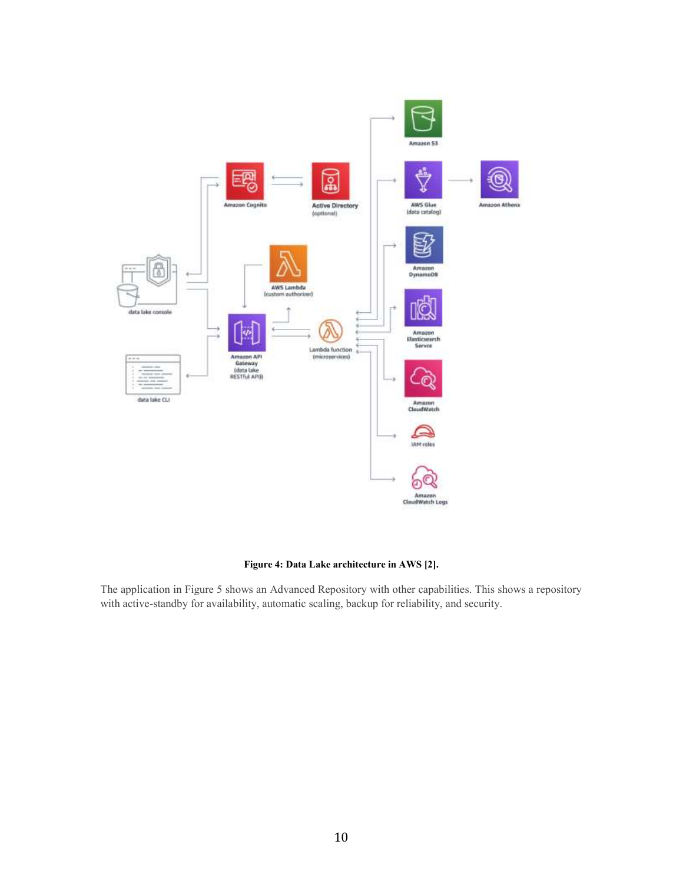

#### **Figure 4: Data Lake architecture in AWS [2].**

The application in Figure 5 shows an Advanced Repository with other capabilities. This shows a repository with active-standby for availability, automatic scaling, backup for reliability, and security.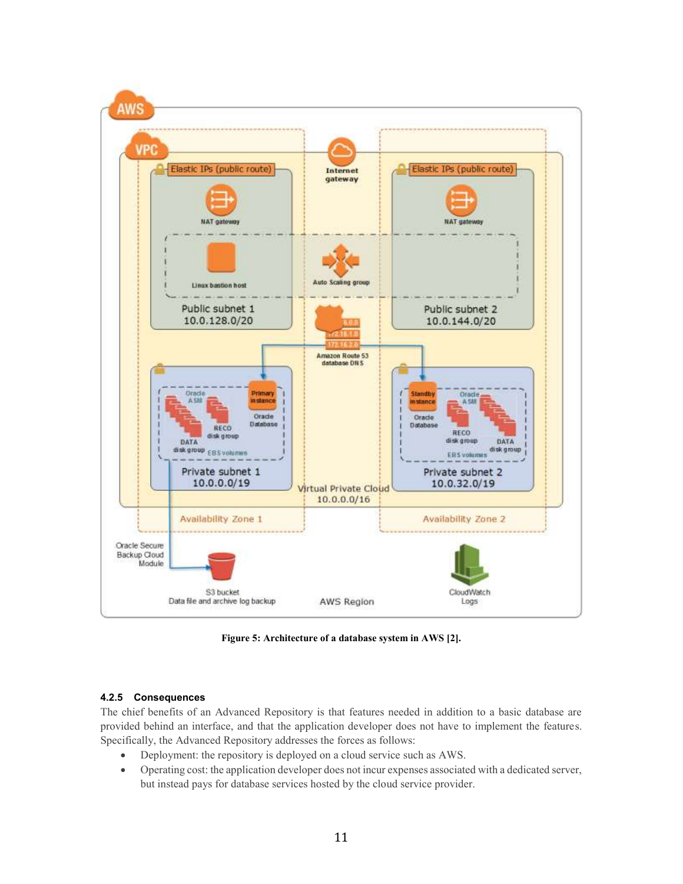

**Figure 5: Architecture of a database system in AWS [2].**

#### **4.2.5 Consequences**

The chief benefits of an Advanced Repository is that features needed in addition to a basic database are provided behind an interface, and that the application developer does not have to implement the features. Specifically, the Advanced Repository addresses the forces as follows:

- Deployment: the repository is deployed on a cloud service such as AWS.
- Operating cost: the application developer does not incur expenses associated with a dedicated server, but instead pays for database services hosted by the cloud service provider.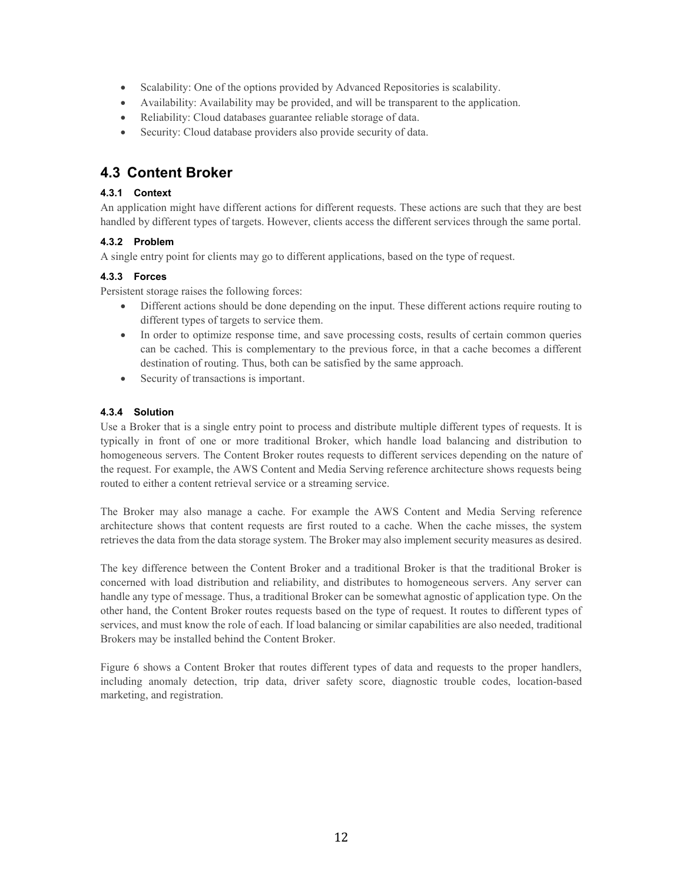- Scalability: One of the options provided by Advanced Repositories is scalability.
- Availability: Availability may be provided, and will be transparent to the application.
- Reliability: Cloud databases guarantee reliable storage of data.
- Security: Cloud database providers also provide security of data.

### **4.3 Content Broker**

#### **4.3.1 Context**

An application might have different actions for different requests. These actions are such that they are best handled by different types of targets. However, clients access the different services through the same portal.

#### **4.3.2 Problem**

A single entry point for clients may go to different applications, based on the type of request.

#### **4.3.3 Forces**

Persistent storage raises the following forces:

- Different actions should be done depending on the input. These different actions require routing to different types of targets to service them.
- In order to optimize response time, and save processing costs, results of certain common queries can be cached. This is complementary to the previous force, in that a cache becomes a different destination of routing. Thus, both can be satisfied by the same approach.
- Security of transactions is important.

#### **4.3.4 Solution**

Use a Broker that is a single entry point to process and distribute multiple different types of requests. It is typically in front of one or more traditional Broker, which handle load balancing and distribution to homogeneous servers. The Content Broker routes requests to different services depending on the nature of the request. For example, the AWS Content and Media Serving reference architecture shows requests being routed to either a content retrieval service or a streaming service.

The Broker may also manage a cache. For example the AWS Content and Media Serving reference architecture shows that content requests are first routed to a cache. When the cache misses, the system retrieves the data from the data storage system. The Broker may also implement security measures as desired.

The key difference between the Content Broker and a traditional Broker is that the traditional Broker is concerned with load distribution and reliability, and distributes to homogeneous servers. Any server can handle any type of message. Thus, a traditional Broker can be somewhat agnostic of application type. On the other hand, the Content Broker routes requests based on the type of request. It routes to different types of services, and must know the role of each. If load balancing or similar capabilities are also needed, traditional Brokers may be installed behind the Content Broker.

Figure 6 shows a Content Broker that routes different types of data and requests to the proper handlers, including anomaly detection, trip data, driver safety score, diagnostic trouble codes, location-based marketing, and registration.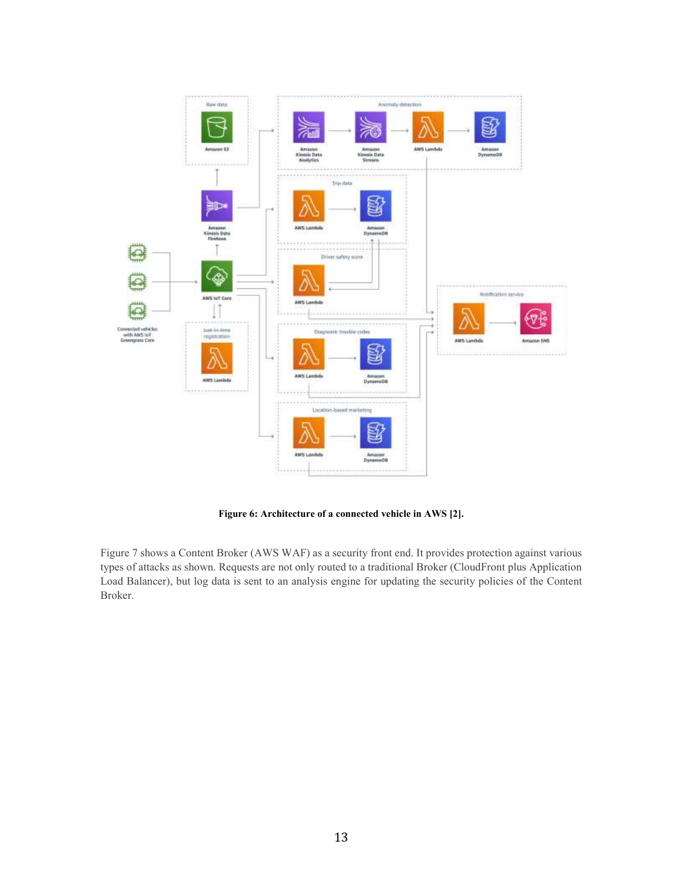

**Figure 6: Architecture of a connected vehicle in AWS [2].**

Figure 7 shows a Content Broker (AWS WAF) as a security front end. It provides protection against various types of attacks as shown. Requests are not only routed to a traditional Broker (CloudFront plus Application Load Balancer), but log data is sent to an analysis engine for updating the security policies of the Content Broker.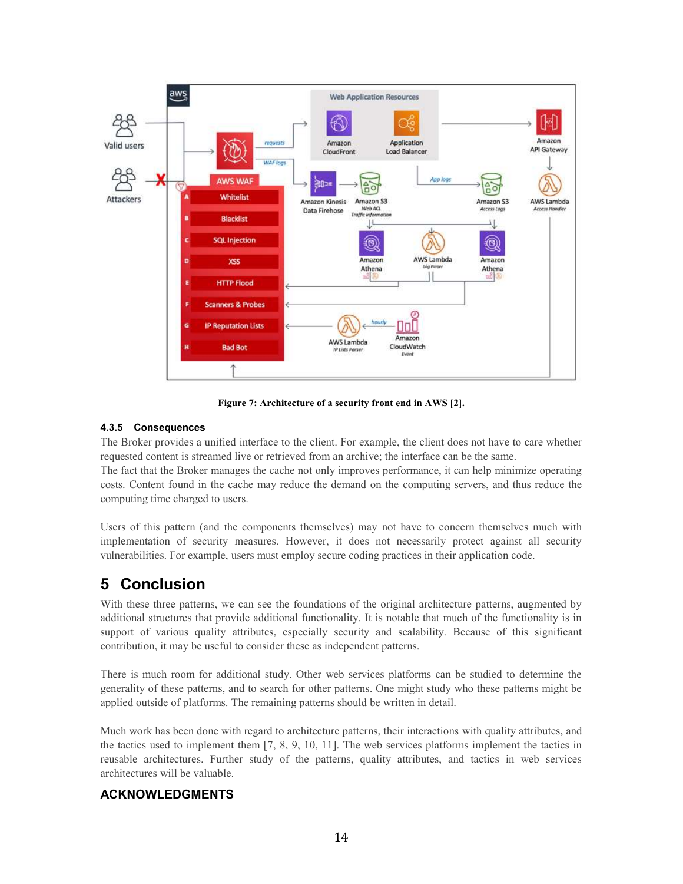

**Figure 7: Architecture of a security front end in AWS [2].**

#### **4.3.5 Consequences**

The Broker provides a unified interface to the client. For example, the client does not have to care whether requested content is streamed live or retrieved from an archive; the interface can be the same.

The fact that the Broker manages the cache not only improves performance, it can help minimize operating costs. Content found in the cache may reduce the demand on the computing servers, and thus reduce the computing time charged to users.

Users of this pattern (and the components themselves) may not have to concern themselves much with implementation of security measures. However, it does not necessarily protect against all security vulnerabilities. For example, users must employ secure coding practices in their application code.

# **5 Conclusion**

With these three patterns, we can see the foundations of the original architecture patterns, augmented by additional structures that provide additional functionality. It is notable that much of the functionality is in support of various quality attributes, especially security and scalability. Because of this significant contribution, it may be useful to consider these as independent patterns.

There is much room for additional study. Other web services platforms can be studied to determine the generality of these patterns, and to search for other patterns. One might study who these patterns might be applied outside of platforms. The remaining patterns should be written in detail.

Much work has been done with regard to architecture patterns, their interactions with quality attributes, and the tactics used to implement them [7, 8, 9, 10, 11]. The web services platforms implement the tactics in reusable architectures. Further study of the patterns, quality attributes, and tactics in web services architectures will be valuable.

### **ACKNOWLEDGMENTS**